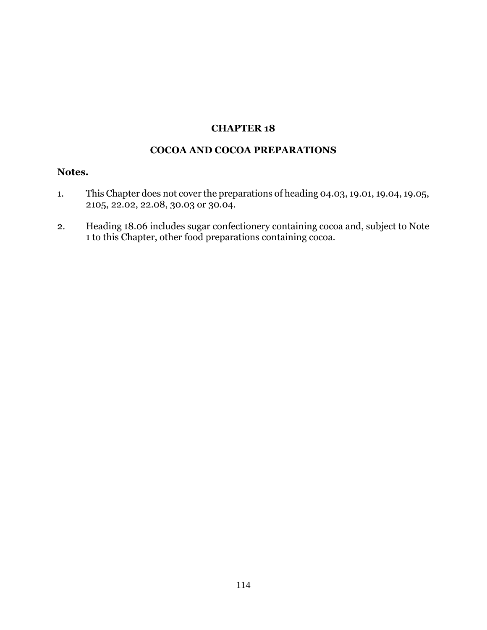## **CHAPTER 18**

## **COCOA AND COCOA PREPARATIONS**

## **Notes.**

- 1. This Chapter does not cover the preparations of heading 04.03, 19.01, 19.04, 19.05, 2105, 22.02, 22.08, 30.03 or 30.04.
- 2. Heading 18.06 includes sugar confectionery containing cocoa and, subject to Note 1 to this Chapter, other food preparations containing cocoa.